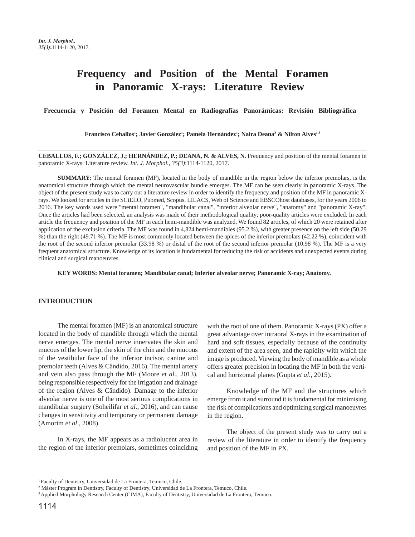# **Frequency and Position of the Mental Foramen in Panoramic X-rays: Literature Review**

 **Frecuencia y Posición del Foramen Mental en Radiografías Panorámicas: Revisión Bibliográfica** 

**Francisco Ceballos1 ; Javier González1 ; Pamela Hernández1 ; Naira Deana2 & Nilton Alves1,3**

**CEBALLOS, F.; GONZÁLEZ, J.; HERNÁNDEZ, P.; DEANA, N. & ALVES, N.** Frequency and position of the mental foramen in panoramic X-rays: Literature review. *Int. J. Morphol., 35(3)*:1114-1120, 2017.

**SUMMARY:** The mental foramen (MF), located in the body of mandible in the region below the inferior premolars, is the anatomical structure through which the mental neurovascular bundle emerges. The MF can be seen clearly in panoramic X-rays. The object of the present study was to carry out a literature review in order to identify the frequency and position of the MF in panoramic Xrays. We looked for articles in the SCiELO, Pubmed, Scopus, LILACS, Web of Science and EBSCOhost databases, for the years 2006 to 2016. The key words used were "mental foramen", "mandibular canal", "inferior alveolar nerve", "anatomy" and "panoramic X-ray". Once the articles had been selected, an analysis was made of their methodological quality; poor-quality articles were excluded. In each article the frequency and position of the MF in each hemi-mandible was analyzed. We found 82 articles, of which 20 were retained after application of the exclusion criteria. The MF was found in 4,824 hemi-mandibles (95.2 %), with greater presence on the left side (50.29 %) than the right (49.71 %). The MF is most commonly located between the apices of the inferior premolars (42.22 %), coincident with the root of the second inferior premolar (33.98 %) or distal of the root of the second inferior premolar (10.98 %). The MF is a very frequent anatomical structure. Knowledge of its location is fundamental for reducing the risk of accidents and unexpected events during clinical and surgical manoeuvres.

**KEY WORDS: Mental foramen; Mandibular canal; Inferior alveolar nerve; Panoramic X-ray; Anatomy.**

### **INTRODUCTION**

The mental foramen (MF) is an anatomical structure located in the body of mandible through which the mental nerve emerges. The mental nerve innervates the skin and mucous of the lower lip, the skin of the chin and the mucous of the vestibular face of the inferior incisor, canine and premolar teeth (Alves & Cândido, 2016). The mental artery and vein also pass through the MF (Moore *et al*., 2013), being responsible respectively for the irrigation and drainage of the region (Alves & Cândido). Damage to the inferior alveolar nerve is one of the most serious complications in mandibular surgery (Soheilifar *et al*., 2016), and can cause changes in sensitivity and temporary or permanent damage (Amorim *et al*., 2008).

In X-rays, the MF appears as a radiolucent area in the region of the inferior premolars, sometimes coinciding

with the root of one of them. Panoramic X-rays (PX) offer a great advantage over intraoral X-rays in the examination of hard and soft tissues, especially because of the continuity and extent of the area seen, and the rapidity with which the image is produced. Viewing the body of mandible as a whole offers greater precision in locating the MF in both the vertical and horizontal planes (Gupta *et al*., 2015).

Knowledge of the MF and the structures which emerge from it and surround it is fundamental for minimising the risk of complications and optimizing surgical manoeuvres in the region.

The object of the present study was to carry out a review of the literature in order to identify the frequency and position of the MF in PX.

<sup>1</sup> Faculty of Dentistry, Universidad de La Frontera, Temuco, Chile.

2 Máster Program in Dentistry, Faculty of Dentistry, Universidad de La Frontera, Temuco, Chile.

<sup>3</sup> Applied Morphology Research Center (CIMA), Faculty of Dentistry, Universidad de La Frontera, Temuco.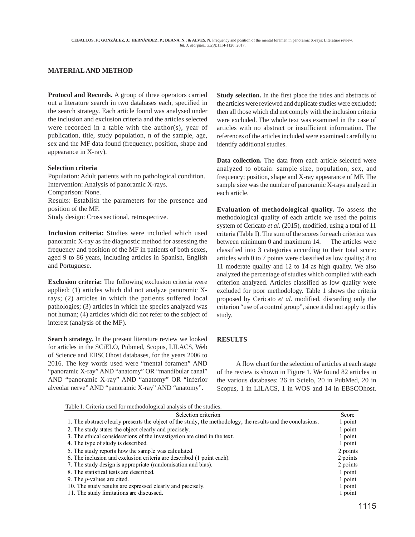## **MATERIAL AND METHOD**

**Protocol and Records.** A group of three operators carried out a literature search in two databases each, specified in the search strategy. Each article found was analysed under the inclusion and exclusion criteria and the articles selected were recorded in a table with the author(s), year of publication, title, study population, n of the sample, age, sex and the MF data found (frequency, position, shape and appearance in X-ray).

#### **Selection criteria**

Population: Adult patients with no pathological condition. Intervention: Analysis of panoramic X-rays. Comparison: None. Results: Establish the parameters for the presence and position of the MF. Study design: Cross sectional, retrospective.

**Inclusion criteria:** Studies were included which used panoramic X-ray as the diagnostic method for assessing the frequency and position of the MF in patients of both sexes, aged 9 to 86 years, including articles in Spanish, English and Portuguese.

**Exclusion criteria:** The following exclusion criteria were applied: (1) articles which did not analyze panoramic Xrays; (2) articles in which the patients suffered local pathologies; (3) articles in which the species analyzed was not human; (4) articles which did not refer to the subject of interest (analysis of the MF).

**Search strategy.** In the present literature review we looked for articles in the SCiELO, Pubmed, Scopus, LILACS, Web of Science and EBSCOhost databases, for the years 2006 to 2016. The key words used were "mental foramen" AND "panoramic X-ray" AND "anatomy" OR "mandibular canal" AND "panoramic X-ray" AND "anatomy" OR "inferior alveolar nerve" AND "panoramic X-ray" AND "anatomy".

**Study selection.** In the first place the titles and abstracts of the articles were reviewed and duplicate studies were excluded; then all those which did not comply with the inclusion criteria were excluded. The whole text was examined in the case of articles with no abstract or insufficient information. The references of the articles included were examined carefully to identify additional studies.

**Data collection.** The data from each article selected were analyzed to obtain: sample size, population, sex, and frequency; position, shape and X-ray appearance of MF. The sample size was the number of panoramic X-rays analyzed in each article.

**Evaluation of methodological quality.** To assess the methodological quality of each article we used the points system of Cericato *et al*. (2015), modified, using a total of 11 criteria (Table I). The sum of the scores for each criterion was between minimum 0 and maximum 14. The articles were classified into 3 categories according to their total score: articles with 0 to 7 points were classified as low quality; 8 to 11 moderate quality and 12 to 14 as high quality. We also analyzed the percentage of studies which complied with each criterion analyzed. Articles classified as low quality were excluded for poor methodology. Table 1 shows the criteria proposed by Cericato *et al*. modified, discarding only the criterion "use of a control group", since it did not apply to this study.

## **RESULTS**

A flow chart for the selection of articles at each stage of the review is shown in Figure 1. We found 82 articles in the various databases: 26 in Scielo, 20 in PubMed, 20 in Scopus, 1 in LILACS, 1 in WOS and 14 in EBSCOhost.

Table I. Criteria used for methodological analysis of the studies.

| Score    |
|----------|
| 1 point  |
| 1 point  |
| 1 point  |
| 1 point  |
| 2 points |
| 2 points |
| 2 points |
| 1 point  |
| 1 point  |
| 1 point  |
| 1 point  |
|          |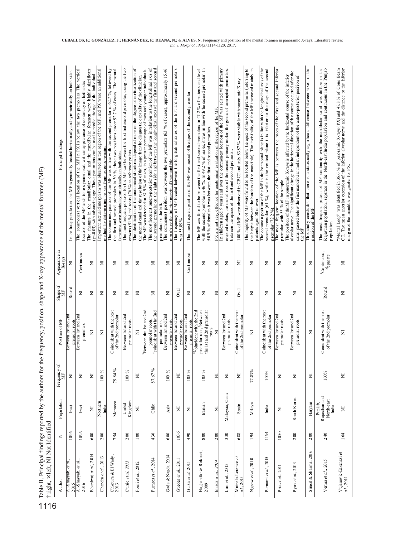| į                    |    |
|----------------------|----|
|                      |    |
| i                    |    |
|                      |    |
| i                    |    |
|                      |    |
|                      |    |
|                      |    |
| i                    |    |
|                      |    |
|                      |    |
|                      |    |
| ł                    |    |
|                      |    |
|                      |    |
|                      |    |
|                      |    |
|                      |    |
| j                    |    |
|                      |    |
|                      |    |
| í<br>$\overline{a}$  |    |
|                      |    |
|                      |    |
|                      |    |
| $\frac{1}{2}$        |    |
| ł                    |    |
|                      |    |
|                      |    |
|                      |    |
| i                    |    |
| l                    |    |
| ֬                    |    |
|                      |    |
|                      |    |
| l<br>i               |    |
| i                    |    |
|                      |    |
|                      |    |
| $\ddot{\phantom{a}}$ |    |
|                      |    |
|                      |    |
| i                    |    |
| J                    |    |
| i                    |    |
|                      |    |
|                      |    |
|                      |    |
|                      |    |
|                      |    |
| į                    |    |
| i<br>l               |    |
|                      | i  |
| Ì                    |    |
|                      |    |
|                      |    |
|                      |    |
|                      |    |
| í                    |    |
|                      |    |
| j                    | l  |
| $\overline{1}$<br>í  |    |
| ļ                    |    |
|                      |    |
| 5                    |    |
| الطلابا              | ֘֒ |

| † right, × left, NI Not Identified  |      |                                                 |                             |                                                                                                     |                  |                              |                                                                                                                                                                                                                                                                                                                      |
|-------------------------------------|------|-------------------------------------------------|-----------------------------|-----------------------------------------------------------------------------------------------------|------------------|------------------------------|----------------------------------------------------------------------------------------------------------------------------------------------------------------------------------------------------------------------------------------------------------------------------------------------------------------------|
| Author                              | z    | Population                                      | ð<br>Frequency $\,$ MF $\,$ | Position of MF                                                                                      | Shape of $M$     | Appearance in<br>X-rays      | Principal findings                                                                                                                                                                                                                                                                                                   |
| Al-Shayyab, et al                   | 1036 | Iraqi                                           | Σ                           | Between 1st and 2nd<br>premolar roots                                                               | Round            | Ξ                            | In the Iraqi population, the MF is generally located horizontally and symmetrically on both sides.                                                                                                                                                                                                                   |
| $\frac{2.015}{A1-Sbayyab, et al.,}$ | 1036 | Iraqi                                           | Ξ                           | Between 1st and 2nd<br>premolars                                                                    | $\overline{z}$   | Continuous                   | The commonest vertical location of the MF in PX is below the two premolars. The vertical<br>location of the MF tends to be symmetrical, with an appearance of continuity on both sides                                                                                                                               |
| Bhardwaj et al., 2014               | 600  | Ξ                                               | Σ                           | Ξ                                                                                                   | Ξ                | Σ                            | The changes in the mandibular canal and the mandibular foramen were highly significant<br>$(p < 0.05)$ with advancing age. These parameters can be used to predict the age of the individual.                                                                                                                        |
| Chandra et al., 2013                | 200  | Northem<br>India                                | $100\,$ %                   | $\overline{z}$                                                                                      | Ξ                | Ξ                            | Important sexual dimorphism was observed in the region of the MF, and PX were an additional<br>method for determining the sex from osseous remains                                                                                                                                                                   |
| Chkoura & El Wady,<br>2013          | 754  | Morocco                                         | $79.84~\%$                  | Coincident with the root<br>of the 2nd premolar                                                     | Ξ                | Ξ                            | The commonest position of the MF was in line with the second premolar in 62.7 %, followed by<br>the first and second premolars in 30 %; these two positions cover 92.7 % of cases. The mental<br>foramina were located symmetrically on both sides.                                                                  |
| Currie et al. 2015                  | 200  | Kingdom<br>United                               | $100~\%$                    | Between 1st and 2nd<br>premolar roots                                                               | Ξ                | Ξ                            | The most frequent position for the MF was between the first and second premolar, using the two<br>crowns (51 %) and roots (76 %) as reference points.                                                                                                                                                                |
| Forni et al., 2012                  | 100  | Ξ                                               | Σ                           | $\overline{z}$                                                                                      | Ξ                | Ξ                            | The identification of the anatomical structures depended more on the degree of corticalization of<br>the mental canal and the resolution of the image than the diagnostic capability of the clinician.                                                                                                               |
| Fuentes et al., 2014                | 430  | Chile                                           | 87.67%                      | Between the 1st and 2nd<br>coincident with the 2nd<br>premo lar roots,                              | Ξ                | Ξ                            | The most frequent antero-posterior position of the MF was in relation to the longitudinal axis of<br>the second premolar on the right side and between the longitudinal axes of the first and second<br>The MF was detected in 87.9 % of cases, in a greater percentage of men and younger individuals.              |
| Gada & Nagda, 2014                  | 600  | Asia                                            | $\%$<br>100                 | Between 1st and 2nd<br>premolar roots<br>premolar root                                              | Σ                | Ξ                            | The commonest position was between the two premolars (63 % of cases), approximately 15.46<br>mm above the inferior margin of the mand ible.<br>premolars on the left                                                                                                                                                 |
| Guedes et al., 2011                 | 1036 | Σ                                               | z                           | Between 1st and 2nd<br>premolar roots                                                               | $O$ val          | Ξ                            | The frequency of MF located between the longitudinal axies of the first and second premolars<br>was 55.89%                                                                                                                                                                                                           |
| Gupta et al. 2015                   | 490  | $\overline{z}$                                  | $\%$<br>100                 | Between 1st and 2nd<br>premolar roots                                                               | Ξ                | Continuous                   | The most frequent position of the MF was mesial of the apex of the second premolar.                                                                                                                                                                                                                                  |
| Haghanifar & Roko uei,<br>2009      | 800  | Iranian                                         | $100\,$ %                   | <sup>¥C</sup> oincident with the 2nd<br>premolar root, Between<br>the 1st and 2nd premolar<br>roots | Ξ                | Ξ                            | with the second premolar in 46 %. In 49.2 % of males, it was in line with the second premolar. In<br>The MF was found to be between the first and second premolars in 47.2 % of patients and level<br>50.9% of females it was between the first and second premolars.                                                |
| 2014<br>Imada et al.                | 200  | z                                               | Ξ                           | ⋝                                                                                                   | Ξ                | Ξ                            | PX are not very effective for anatomical evaluation of the region of the MF                                                                                                                                                                                                                                          |
| Lim $et$ $al$ , $20$ $15$           | 330  | Malaysia, China                                 | Ξ                           | Between 1st and 2nd<br>premolar roots                                                               | Ξ                | Ξ                            | erup ted molars, the mesial root of the second primary molar, the germs of unerupted premolars,<br>In children aged 9 years and over the commonest location of the MF was related with primary<br>between the apices of the first and second premolar.                                                               |
| Muinelo-Lorenzo et $a l$ , 2015     | 688  | Spain                                           | Σ                           | Coincident with the root<br>of the 2nd premolar                                                     | O <sub>val</sub> | Ξ                            | 100 % of MF were observed in CBCT and only 83.87 % were visible with panoramic X-ray                                                                                                                                                                                                                                 |
| Ngeow et al., 2010                  | 194  | Malaya                                          | $77.83\%$                   | Ξ                                                                                                   | Ξ                | Ξ                            | the height between the borders of the mandible). The invisibility of the MF increased mainly in<br>The majority of MF were found to be located below the apex of the second premo lar (referring to<br>patients aged 50 or over.                                                                                     |
| Parnami et al., 2015                | 1164 | India                                           | $100\%$                     | Coincident with the root<br>of the 2nd premolar                                                     | Ξ                | Ξ                            | The common position of the MF in the horizontal plane is in line with the longitudinal axis of the second premolar (61 %), while in the vertical plane it is inferior to the cusp of the second<br>premolar $(72.2\%)$                                                                                               |
| Pria et al., 2011                   | 1000 | z                                               | Ξ                           | Between 1st and 2nd<br>premolar roots                                                               | Ξ                | Ξ                            | The most frequent location of the MF is between the roots of the first and second inferior<br>premolar, with 55 % of the sample.                                                                                                                                                                                     |
| Pyun et al., 2013                   | 200  | South Korea                                     | Σ                           | Between 1st and 2nd<br>premolar roots                                                               | Ξ                | Ξ                            | alveolar nerve. The significant change in the horizontal direction of the course occurred after the<br>The position of the MF in panoramic X-rays is affected by the horizontal course of the inferior<br>canal passed below the first mand ibular molar, independ ent of the antero-posterior position of<br>the MF |
| 6<br>Singal & Sharma, 201           | 200  | Haryama                                         | Σ                           | Ξ                                                                                                   | Ξ                | Ξ                            | This study concludes that there is a statistically significant difference between sexes in the<br>position of the MF                                                                                                                                                                                                 |
| Verma et al., 2015                  | 240  | Punjab,<br>Rajasthan and<br>North-east<br>India | $100\%$                     | Coincident with the root<br>of the 2nd premolar                                                     | Round            | $*$ Continuous,<br>*Separate | The most frequent pattern of MF continuity with the mandibular caml was diffuse in the Rajasthan population, separate in the North-east India population and continuous in the Punjab<br>population                                                                                                                  |
| Vujanovic-Eskenazi et $a\,l,2014$   | 164  | $\overline{\mathsf{z}}$                         | Σ                           | $\overline{z}$                                                                                      | $\overline{z}$   | Ξ                            | "Mental Loop" was identified in 36.6 % of paroramic X-rays (PX) and 48.8 % of Cone Beam<br>CT. The mean anterior extension of the inferior alveolar nerve and the distance to the inferior<br>marg in of the mandible was greater for PX.                                                                            |

**CEBALLOS, F.; GONZÁLEZ, J.; HERNÁNDEZ, P.; DEANA, N.; & ALVES, N.** Frequency and position of the mental foramen in panoramic X-rays: Literature review. *Int. J. Morphol., 35(3)*:1114-1120, 2017.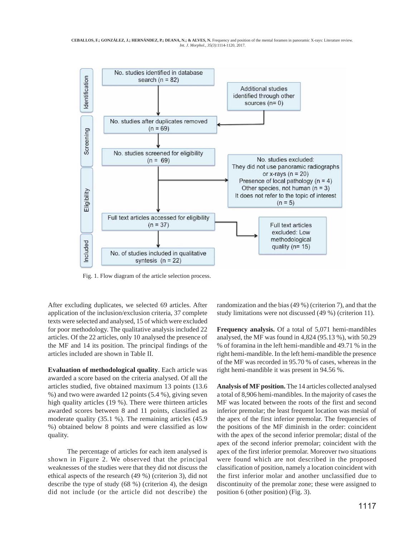

Fig. 1. Flow diagram of the article selection process.

After excluding duplicates, we selected 69 articles. After application of the inclusion/exclusion criteria, 37 complete texts were selected and analysed, 15 of which were excluded for poor methodology. The qualitative analysis included 22 articles. Of the 22 articles, only 10 analysed the presence of the MF and 14 its position. The principal findings of the articles included are shown in Table II.

**Evaluation of methodological quality**. Each article was awarded a score based on the criteria analysed. Of all the articles studied, five obtained maximum 13 points (13.6 %) and two were awarded 12 points (5.4 %), giving seven high quality articles (19 %). There were thirteen articles awarded scores between 8 and 11 points, classified as moderate quality (35.1 %). The remaining articles (45.9 %) obtained below 8 points and were classified as low quality.

The percentage of articles for each item analysed is shown in Figure 2. We observed that the principal weaknesses of the studies were that they did not discuss the ethical aspects of the research (49 %) (criterion 3), did not describe the type of study (68 %) (criterion 4), the design did not include (or the article did not describe) the

randomization and the bias (49 %) (criterion 7), and that the study limitations were not discussed (49 %) (criterion 11).

**Frequency analysis.** Of a total of 5,071 hemi-mandibles analysed, the MF was found in 4,824 (95.13 %), with 50.29 % of foramina in the left hemi-mandible and 49.71 % in the right hemi-mandible. In the left hemi-mandible the presence of the MF was recorded in 95.70 % of cases, whereas in the right hemi-mandible it was present in 94.56 %.

**Analysis of MF position.** The 14 articles collected analysed a total of 8,906 hemi-mandibles. In the majority of cases the MF was located between the roots of the first and second inferior premolar; the least frequent location was mesial of the apex of the first inferior premolar. The frequencies of the positions of the MF diminish in the order: coincident with the apex of the second inferior premolar; distal of the apex of the second inferior premolar; coincident with the apex of the first inferior premolar. Moreover two situations were found which are not described in the proposed classification of position, namely a location coincident with the first inferior molar and another unclassified due to discontinuity of the premolar zone; these were assigned to position 6 (other position) (Fig. 3).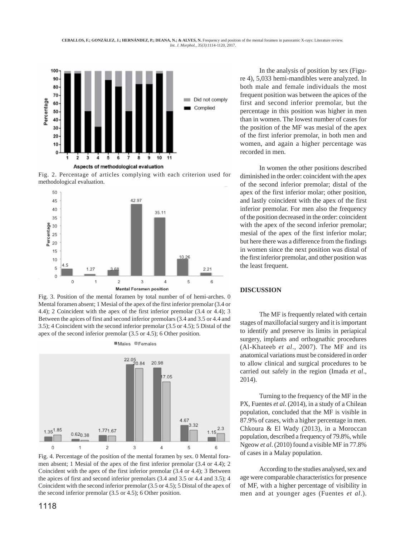

Fig. 2. Percentage of articles complying with each criterion used for methodological evaluation.



Fig. 3. Position of the mental foramen by total number of of hemi-arches. 0 Mental foramen absent; 1 Mesial of the apex of the first inferior premolar (3.4 or 4.4); 2 Coincident with the apex of the first inferior premolar (3.4 or 4.4); 3 Between the apices of first and second inferior premolars (3.4 and 3.5 or 4.4 and 3.5); 4 Coincident with the second inferior premolar (3.5 or 4.5); 5 Distal of the apex of the second inferior premolar (3.5 or 4.5); 6 Other position.

**Males OFemales** 



Fig. 4. Percentage of the position of the mental foramen by sex. 0 Mental foramen absent; 1 Mesial of the apex of the first inferior premolar (3.4 or 4.4); 2 Coincident with the apex of the first inferior premolar (3.4 or 4.4); 3 Between the apices of first and second inferior premolars (3.4 and 3.5 or 4.4 and 3.5); 4 Coincident with the second inferior premolar (3.5 or 4.5); 5 Distal of the apex of the second inferior premolar (3.5 or 4.5); 6 Other position.

In the analysis of position by sex (Figure 4), 5,033 hemi-mandibles were analyzed. In both male and female individuals the most frequent position was between the apices of the first and second inferior premolar, but the percentage in this position was higher in men than in women. The lowest number of cases for the position of the MF was mesial of the apex of the first inferior premolar, in both men and women, and again a higher percentage was recorded in men.

In women the other positions described diminished in the order: coincident with the apex of the second inferior premolar; distal of the apex of the first inferior molar; other position, and lastly coincident with the apex of the first inferior premolar. For men also the frequency of the position decreased in the order: coincident with the apex of the second inferior premolar; mesial of the apex of the first inferior molar; but here there was a difference from the findings in women since the next position was distal of the first inferior premolar, and other position was the least frequent.

## **DISCUSSION**

The MF is frequently related with certain stages of maxillofacial surgery and it is important to identify and preserve its limits in periapical surgery, implants and orthognathic procedures (Al-Khateeb *et al*., 2007). The MF and its anatomical variations must be considered in order to allow clinical and surgical procedures to be carried out safely in the region (Imada *et al*., 2014).

Turning to the frequency of the MF in the PX, Fuentes *et al*. (2014), in a study of a Chilean population, concluded that the MF is visible in 87.9% of cases, with a higher percentage in men. Chkoura & El Wady (2013), in a Moroccan population, described a frequency of 79.8%, while Ngeow *et al*. (2010) found a visible MF in 77.8% of cases in a Malay population.

According to the studies analysed, sex and age were comparable characteristics for presence of MF, with a higher percentage of visibility in men and at younger ages (Fuentes *et al*.).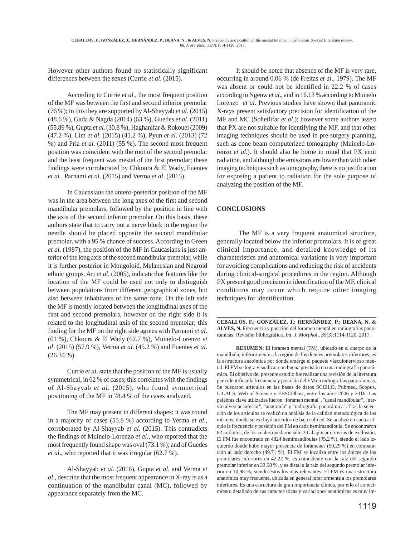However other authors found no statistically significant differences between the sexes (Currie *et al*. (2015).

According to Currie *et al*., the most frequent position of the MF was between the first and second inferior premolar (76 %); in this they are supported by Al-Shayyab *et al*. (2015) (48.6 %), Gada & Nagda (2014) (63 %), Guedes *et al*. (2011) (55.89 %), Gupta *et al*. (30.8 %), Haghanifar & Rokouei (2009) (47.2 %), Lim *et al*. (2015) (41.2 %), Pyun *et al*. (2013) (72 %) and Pria *et al*. (2011) (55 %). The second most frequent position was coincident with the root of the second premolar and the least frequent was mesial of the first premolar; these findings were corroborated by Chkoura & El Wady, Fuentes *et al*., Parnami *et al*. (2015) and Verma *et al*. (2015).

In Caucasians the antero-posterior position of the MF was in the area between the long axes of the first and second mandibular premolars, followed by the position in line with the axis of the second inferior premolar. On this basis, these authors state that to carry out a nerve block in the region the needle should be placed opposite the second mandibular premolar, with a 95 % chance of success. According to Green *et al*. (1987), the position of the MF in Caucasians is just anterior of the long axis of the second mandibular premolar, while it is further posterior in Mongoloid, Melanesian and Negroid ethnic groups. Ari *et al*. (2005), indicate that features like the location of the MF could be used not only to distinguish between populations from different geographical zones, but also between inhabitants of the same zone. On the left side the MF is mostly located between the longitudinal axes of the first and second premolars, however on the right side it is related to the longitudinal axis of the second premolar; this finding for the MF on the right side agrees with Parnami *et al*. (61 %), Chkoura & El Wady (62.7 %), Muinelo-Lorenzo *et al*. (2015) (57.9 %), Verma *et al*. (45.2 %) and Fuentes *et al*. (26.34 %).

Currie *et al*. state that the position of the MF is usually symmetrical, in 62 % of cases; this correlates with the findings of Al-Shayyab *et al*. (2015), who found symmetrical positioning of the MF in 78.4 % of the cases analyzed.

The MF may present in different shapes: it was round in a majority of cases (55.8 %) according to Verma *et al*., corroborated by Al-Shayyab *et al*. (2015). This contradicts the findings of Muinelo-Lorenzo *et al*., who reported that the most frequently found shape was oval (73.1 %); and of Guedes *et al*., who reported that it was irregular (62.7 %).

Al-Shayyab *et al*. (2016), Gupta *et al*. and Verma *et al*., describe that the most frequent appearance in X-ray is as a continuation of the mandibular canal (MC), followed by appearance separately from the MC.

It should be noted that absence of the MF is very rare, occurring in around 0.06 % (de Freitas *et al*., 1979). The MF was absent or could not be identified in 22.2 % of cases according to Ngeow *et al*., and in 16.13 % according to Muinelo Lorenzo *et al*. Previous studies have shown that panoramic X-rays present satisfactory precision for identification of the MF and MC (Soheilifar *et al*.); however some authors assert that PX are not suitable for identifying the MF, and that other imaging techniques should be used in pre-surgery planning, such as cone beam computerized tomography (Muinelo-Lorenzo *et al*.). It should also be borne in mind that PX emit radiation, and although the emissions are lower than with other imaging techniques such as tomography, there is no justification for exposing a patient to radiation for the sole purpose of analyzing the position of the MF.

## **CONCLUSIONS**

 The MF is a very frequent anatomical structure, generally located below the inferior premolars. It is of great clinical importance, and detailed knowledge of its characteristics and anatomical variations is very important for avoiding complications and reducing the risk of accidents during clinical-surgical procedures in the region. Although PX present good precision in identification of the MF, clinical conditions may occur which require other imaging techniques for identification.

**CEBALLOS, F.; GONZÁLEZ, J.; HERNÁNDEZ, P.; DEANA, N. & ALVES, N.** Frecuencia y posición del foramen mental en radiografías panorámicas: Revisión bibliográfica. *Int. J. Morphol., 35(3)*:1114-1120, 2017.

**RESUMEN:** El foramen mental (FM), ubicado en el cuerpo de la mandíbula, inferiormente a la región de los dientes premolares inferiores, es la estructura anatómica por donde emerge el paquete vásculonervioso mental. El FM se logra visualizar con buena precisión en una radiografía panorámica. El objetivo del presente estudio fue realizar una revisión de la literatura para identificar la frecuencia y posición del FM en radiografías panorámicas. Se buscaron artículos en las bases de datos SCiELO, Pubmed, Scopus, LILACS, Web of Science y EBSCOhost, entre los años 2006 y 2016. Las palabras clave utilizadas fueron "foramen mental", "canal mandibular", "nervio alveolar inferior", "anatomía" y "radiografía panorámica". Tras la selección de los artículos se realizó un análisis de la calidad metodológica de los mismos, donde se excluyó artículos de baja calidad. Se analizó en cada artículo la frecuencia y posición del FM en cada hemimandíbula. Se encontraron 82 artículos, de los cuales quedaron sólo 20 al aplicar criterios de exclusión. El FM fue encontrado en 4824 hemimandíbulas (95,2 %), siendo el lado izquierdo donde hubo mayor presencia de forámenes (50,29 %) en comparación al lado derecho (49,71 %). El FM se localiza entre los ápices de los premolares inferiores en 42,22 %, es coincidente con la raíz del segundo premolar inferior en 33,98 %, y es distal a la raíz del segundo premolar inferior en 10,98 %, siendo éstos los más relevantes. El FM es una estructura anatómica muy frecuente, ubicada en general inferiormente a los premolares inferiores. Es una estructura de gran importancia clínica, por ello el conocimiento detallado de sus características y variaciones anatómicas es muy im